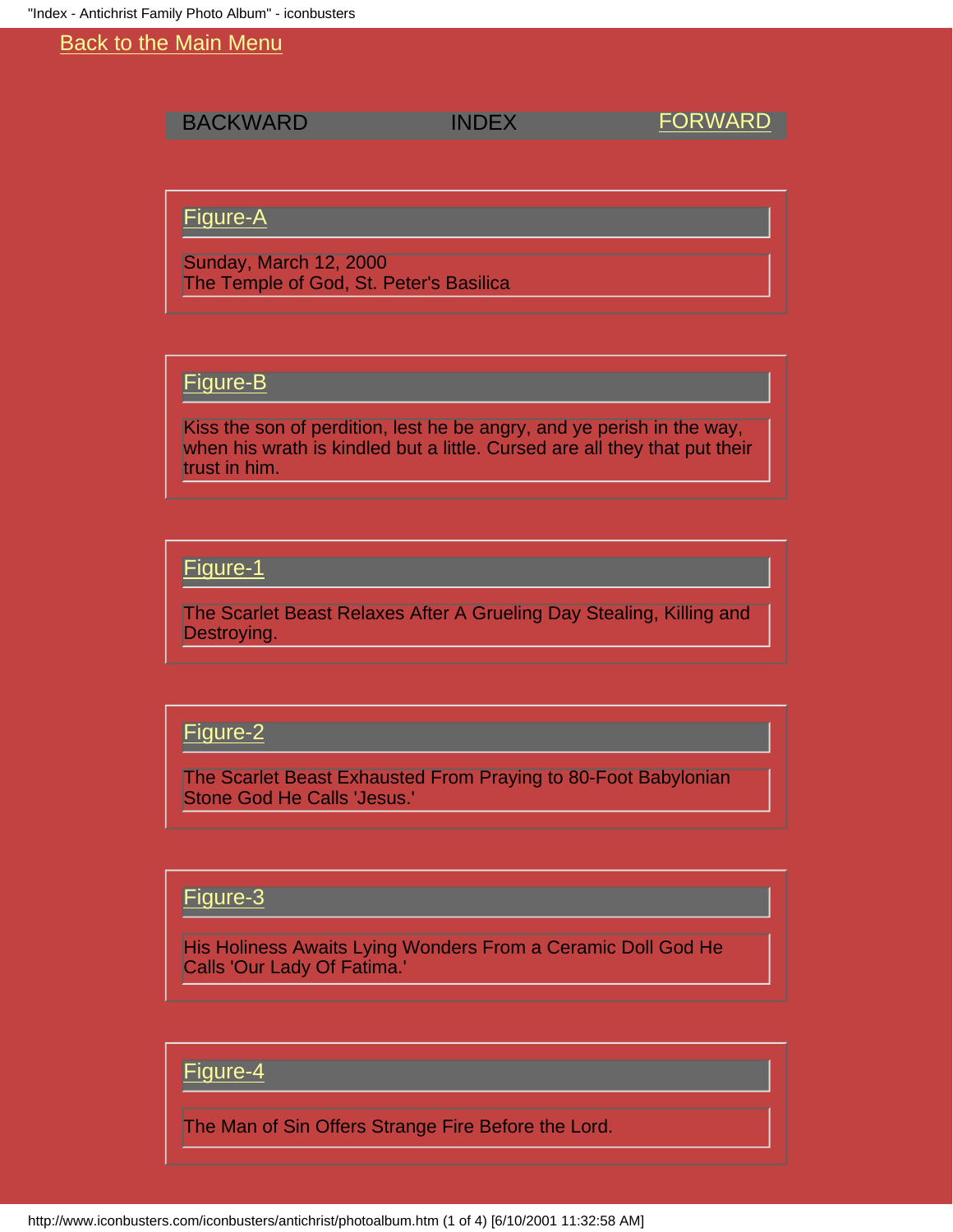<span id="page-0-0"></span>BACKWARD INDEX [FORWARD](#page-4-0)

### [Figure-A](#page-4-0)

Sunday, March 12, 2000 The Temple of God, St. Peter's Basilica

# [Figure-B](#page-11-0)

Kiss the son of perdition, lest he be angry, and ye perish in the way, when his wrath is kindled but a little. Cursed are all they that put their trust in him.

### [Figure-1](#page-12-0)

The Scarlet Beast Relaxes After A Grueling Day Stealing, Killing and Destroying.

### [Figure-2](#page-13-0)

The Scarlet Beast Exhausted From Praying to 80-Foot Babylonian Stone God He Calls 'Jesus.'

### [Figure-3](#page-14-0)

His Holiness Awaits Lying Wonders From a Ceramic Doll God He Calls 'Our Lady Of Fatima.'

### [Figure-4](#page-15-0)

The Man of Sin Offers Strange Fire Before the Lord.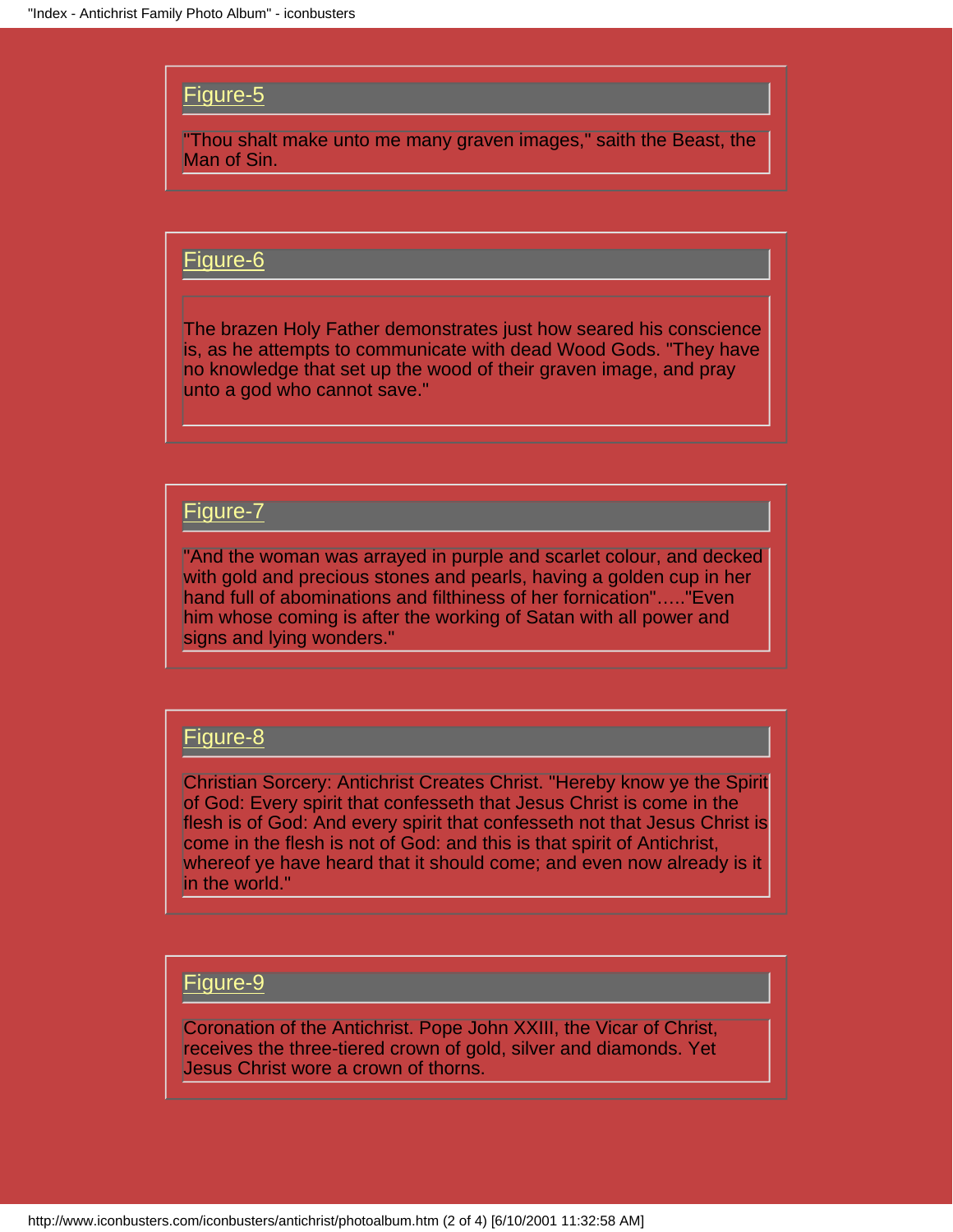### [Figure-5](#page-16-0)

"Thou shalt make unto me many graven images," saith the Beast, the Man of Sin.

### [Figure-6](#page-17-0)

The brazen Holy Father demonstrates just how seared his conscience is, as he attempts to communicate with dead Wood Gods. "They have no knowledge that set up the wood of their graven image, and pray unto a god who cannot save."

### [Figure-7](#page-18-0)

"And the woman was arrayed in purple and scarlet colour, and decked with gold and precious stones and pearls, having a golden cup in her hand full of abominations and filthiness of her fornication"….."Even him whose coming is after the working of Satan with all power and signs and lying wonders."

### [Figure-8](#page-19-0)

Christian Sorcery: Antichrist Creates Christ. "Hereby know ye the Spirit of God: Every spirit that confesseth that Jesus Christ is come in the flesh is of God: And every spirit that confesseth not that Jesus Christ is come in the flesh is not of God: and this is that spirit of Antichrist, whereof ye have heard that it should come; and even now already is it in the world."

### [Figure-9](#page-20-0)

Coronation of the Antichrist. Pope John XXIII, the Vicar of Christ, receives the three-tiered crown of gold, silver and diamonds. Yet Jesus Christ wore a crown of thorns.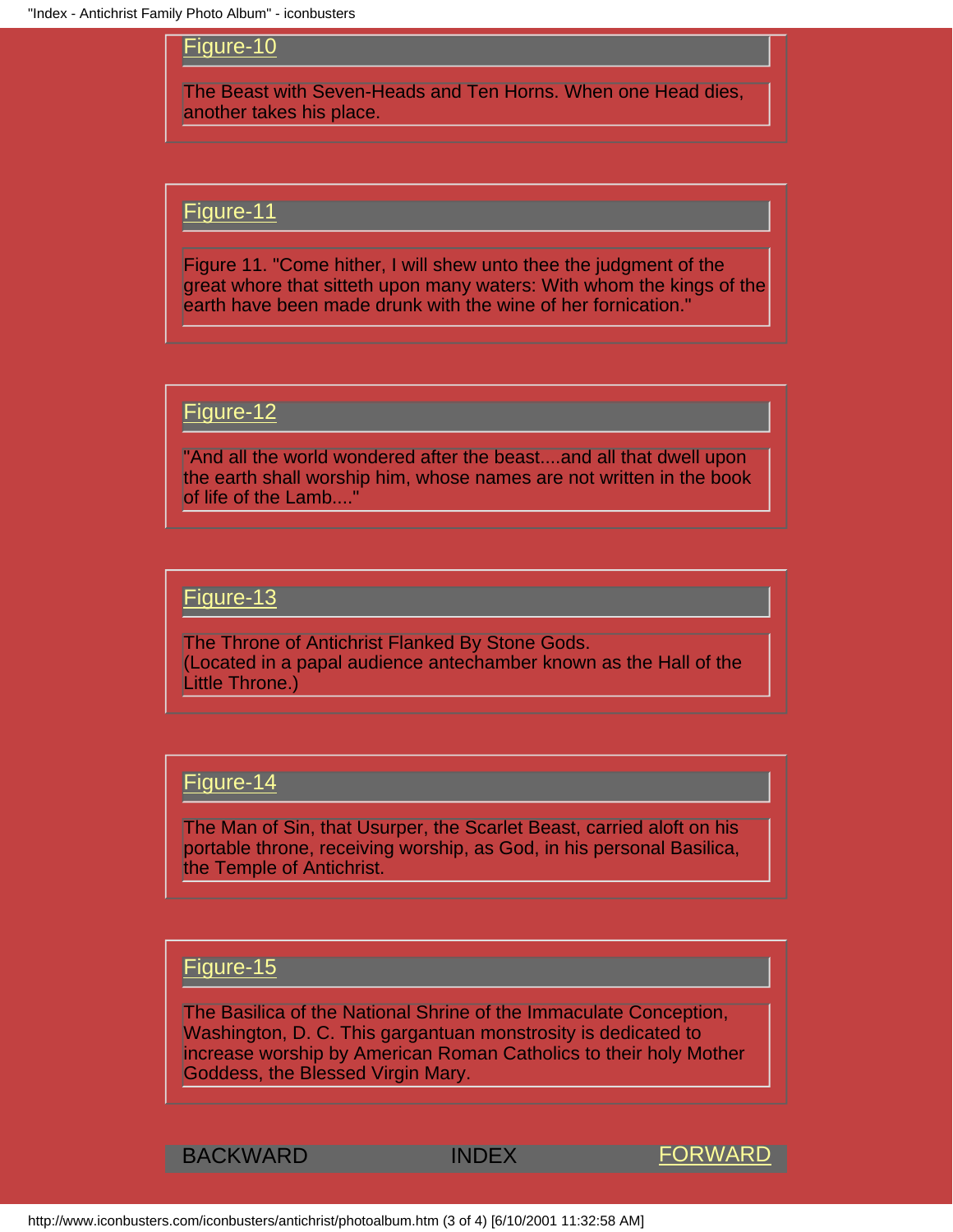### [Figure-10](#page-21-0)

The Beast with Seven-Heads and Ten Horns. When one Head dies, another takes his place.

### [Figure-11](#page-9-0)

Figure 11. "Come hither, I will shew unto thee the judgment of the great whore that sitteth upon many waters: With whom the kings of the earth have been made drunk with the wine of her fornication."

### [Figure-12](#page-8-0)

"And all the world wondered after the beast....and all that dwell upon the earth shall worship him, whose names are not written in the book of life of the Lamb...."

### [Figure-13](#page-7-0)

The Throne of Antichrist Flanked By Stone Gods. (Located in a papal audience antechamber known as the Hall of the Little Throne.)

### [Figure-14](#page-6-0)

The Man of Sin, that Usurper, the Scarlet Beast, carried aloft on his portable throne, receiving worship, as God, in his personal Basilica, the Temple of Antichrist.

### [Figure-15](#page-5-0)

The Basilica of the National Shrine of the Immaculate Conception, Washington, D. C. This gargantuan monstrosity is dedicated to increase worship by American Roman Catholics to their holy Mother Goddess, the Blessed Virgin Mary.

BACKWARD INDEX [FORWARD](#page-4-0)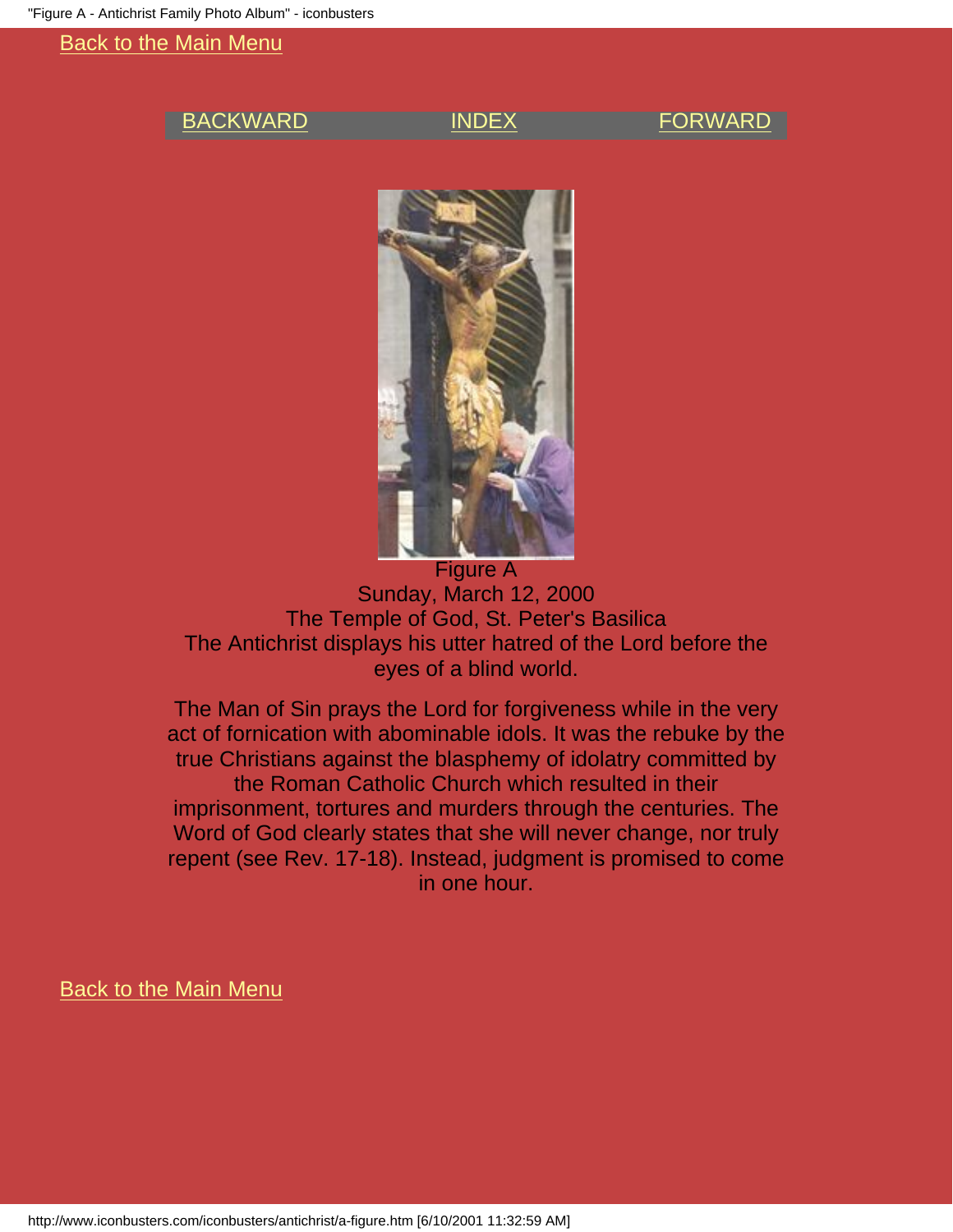### <span id="page-4-0"></span>[BACKWARD](#page-5-0) [INDEX](#page-0-0) [FORWARD](#page-11-0)



### Figure A Sunday, March 12, 2000 The Temple of God, St. Peter's Basilica The Antichrist displays his utter hatred of the Lord before the eyes of a blind world.

The Man of Sin prays the Lord for forgiveness while in the very act of fornication with abominable idols. It was the rebuke by the true Christians against the blasphemy of idolatry committed by the Roman Catholic Church which resulted in their imprisonment, tortures and murders through the centuries. The Word of God clearly states that she will never change, nor truly repent (see Rev. 17-18). Instead, judgment is promised to come in one hour.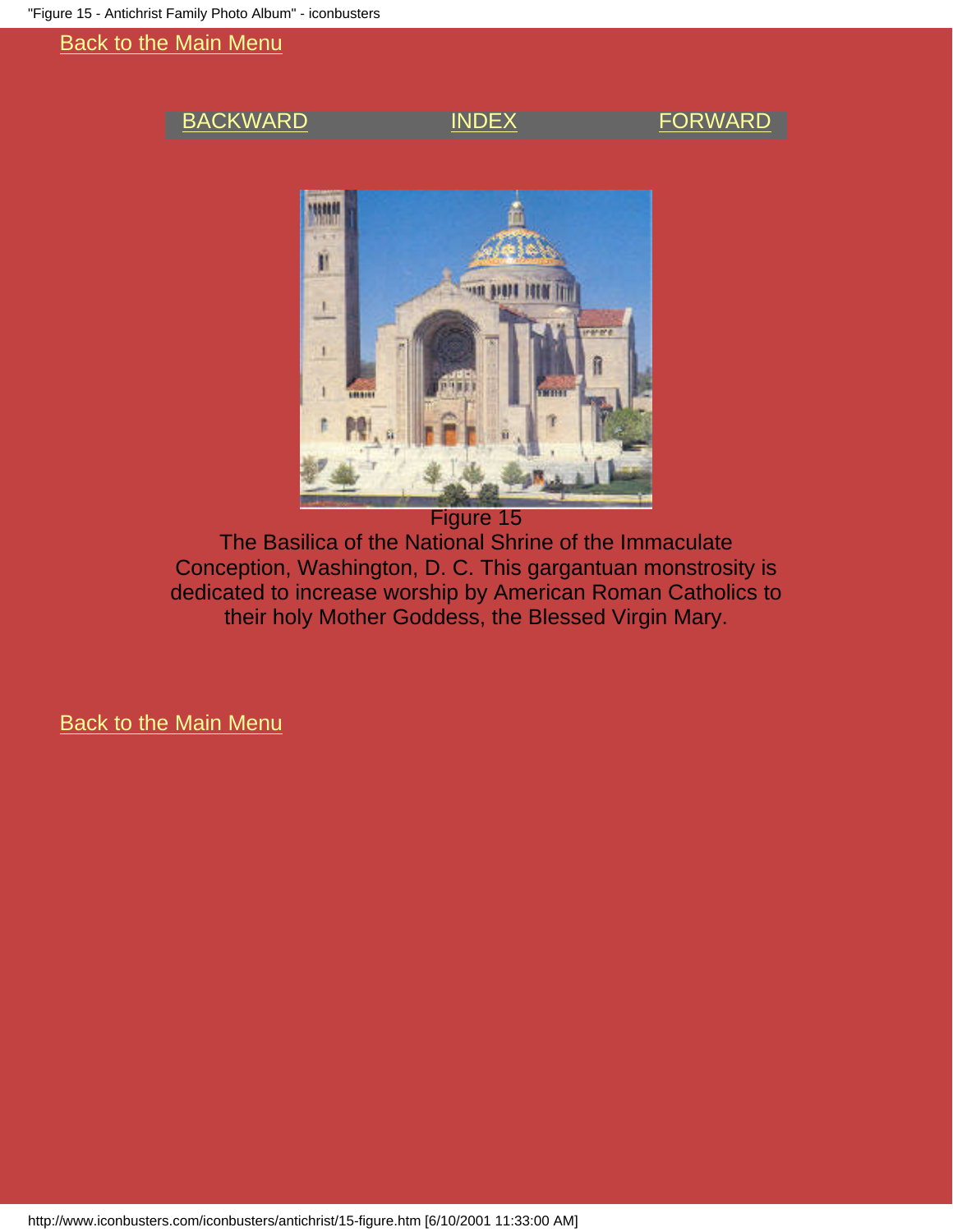### <span id="page-5-0"></span>[BACKWARD](#page-6-0) [INDEX](#page-0-0) [FORWARD](#page-4-0)



The Basilica of the National Shrine of the Immaculate Conception, Washington, D. C. This gargantuan monstrosity is dedicated to increase worship by American Roman Catholics to their holy Mother Goddess, the Blessed Virgin Mary.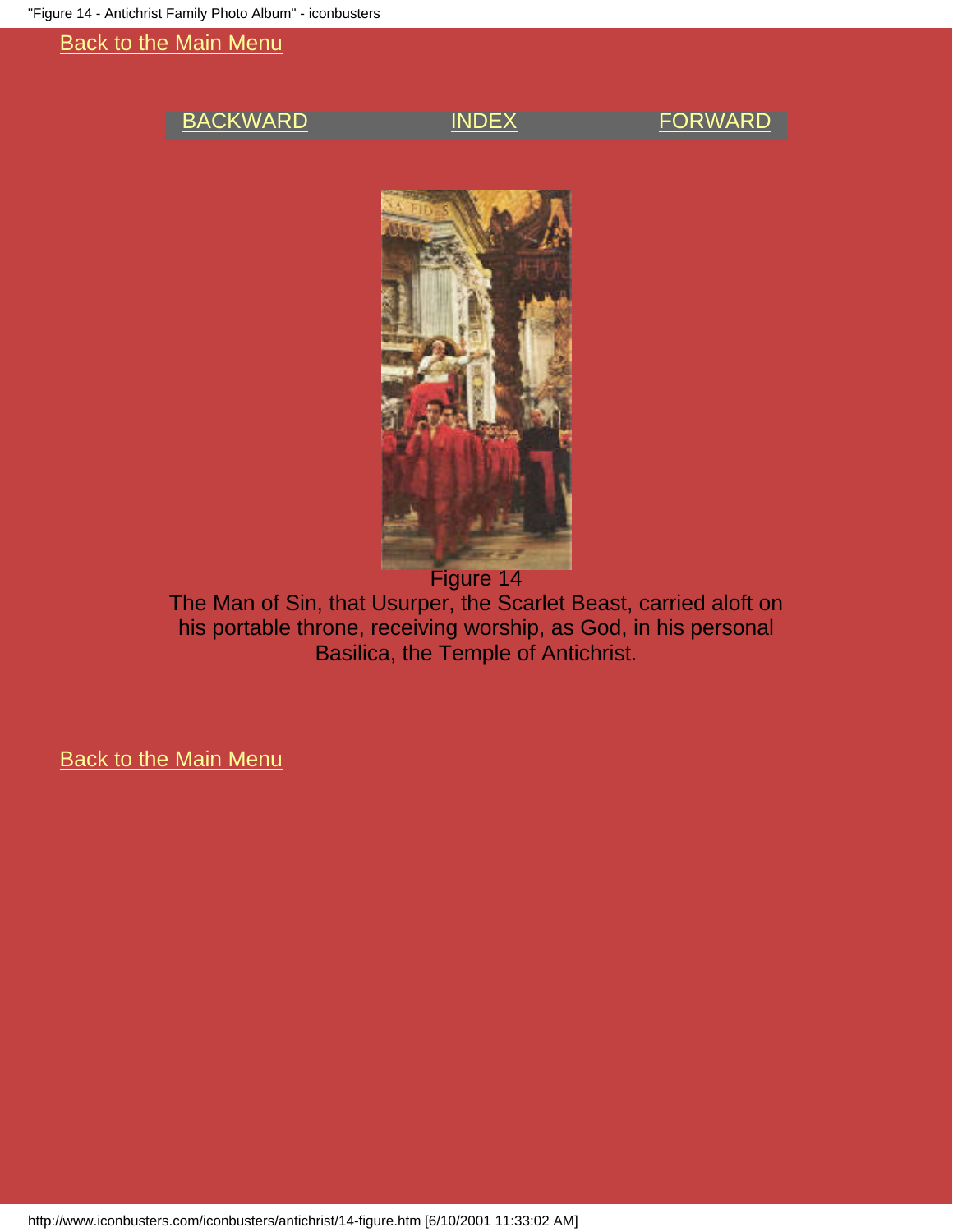### <span id="page-6-0"></span>[BACKWARD](#page-7-0) [INDEX](#page-0-0) [FORWARD](#page-5-0)



The Man of Sin, that Usurper, the Scarlet Beast, carried aloft on his portable throne, receiving worship, as God, in his personal Basilica, the Temple of Antichrist.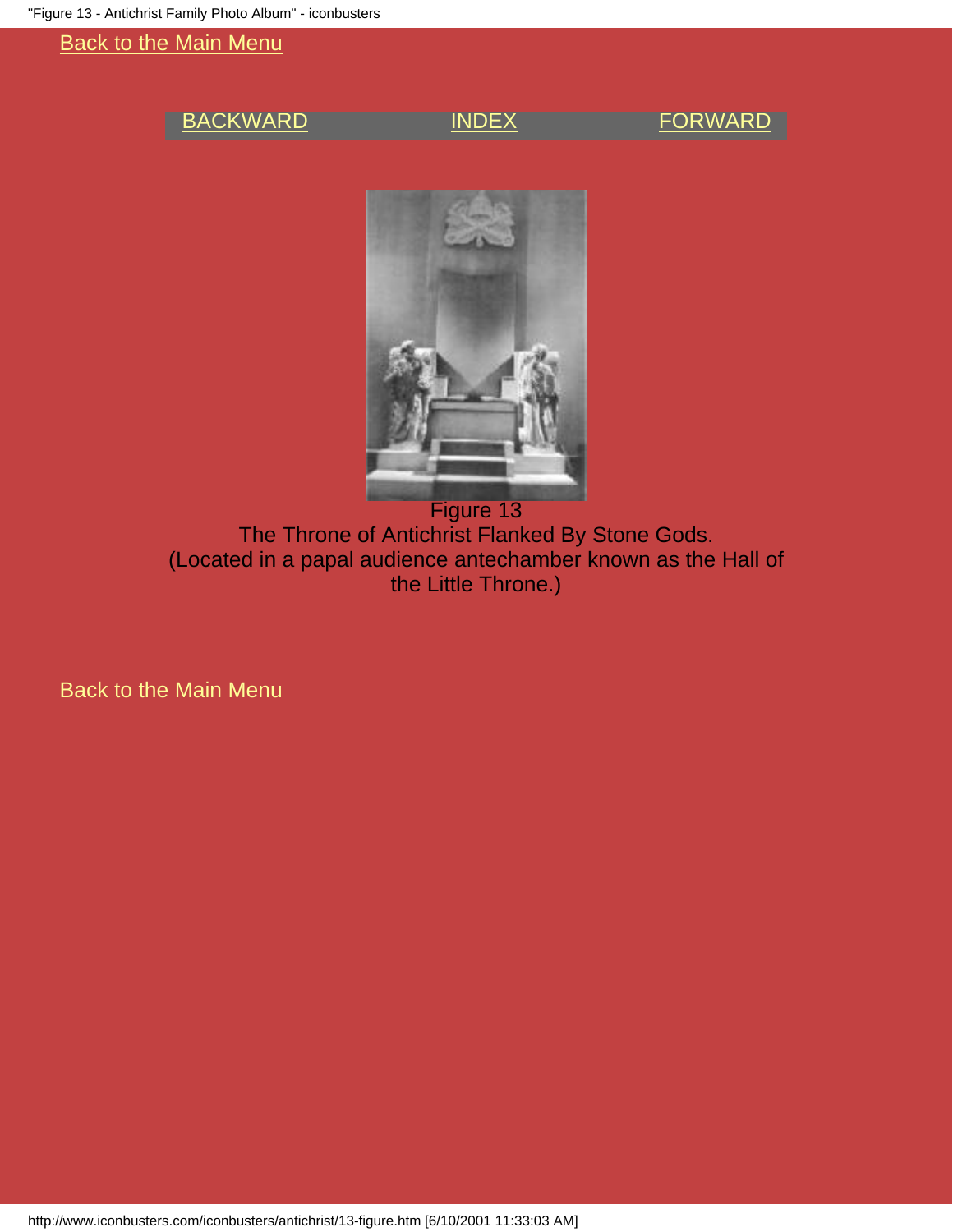### <span id="page-7-0"></span>[BACKWARD](#page-8-0) [INDEX](#page-0-0) [FORWARD](#page-6-0)



Figure 13 The Throne of Antichrist Flanked By Stone Gods. (Located in a papal audience antechamber known as the Hall of the Little Throne.)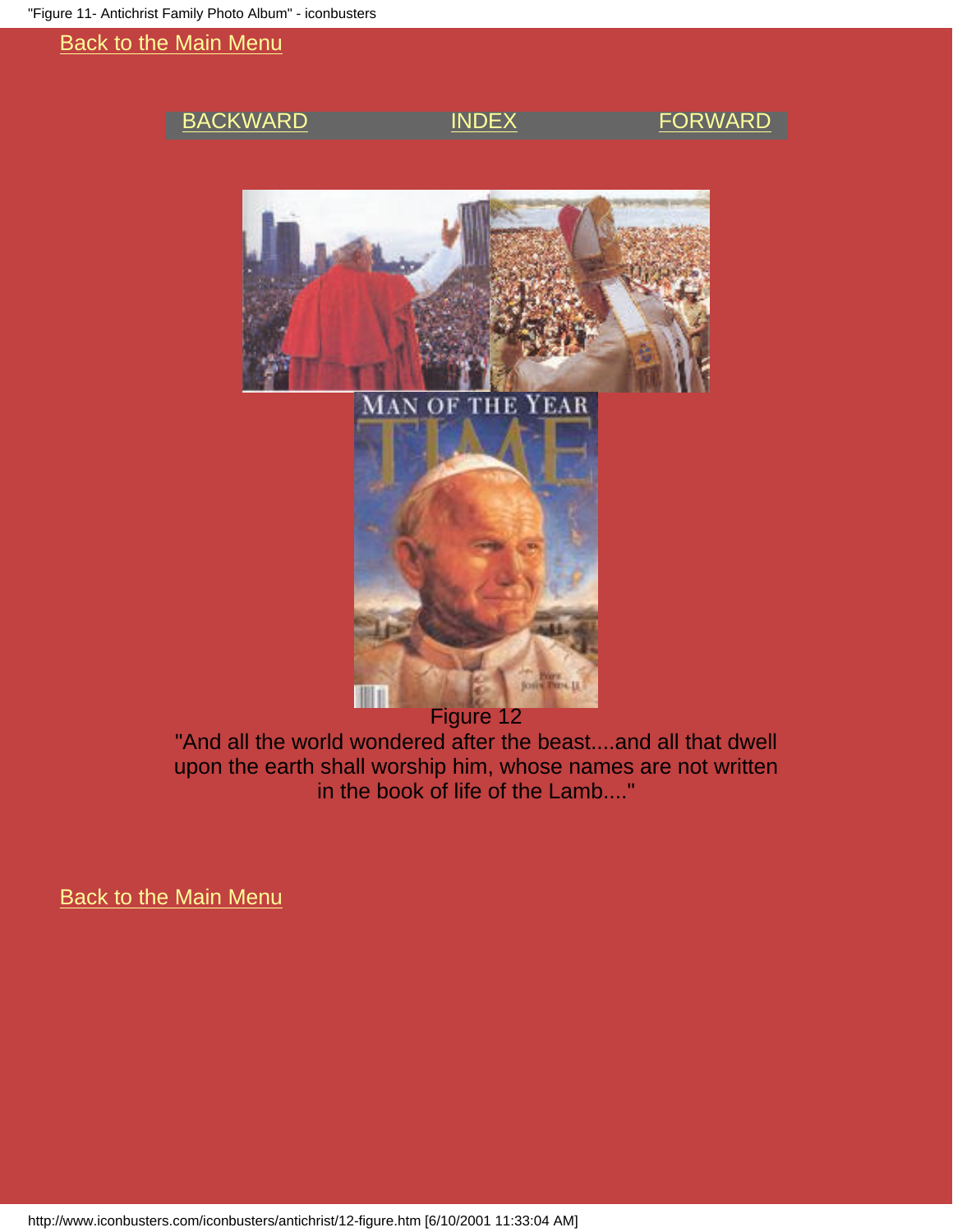### <span id="page-8-0"></span>[BACKWARD](#page-9-0) [INDEX](#page-0-0) [FORWARD](#page-7-0)







Figure 12

"And all the world wondered after the beast....and all that dwell upon the earth shall worship him, whose names are not written in the book of life of the Lamb...."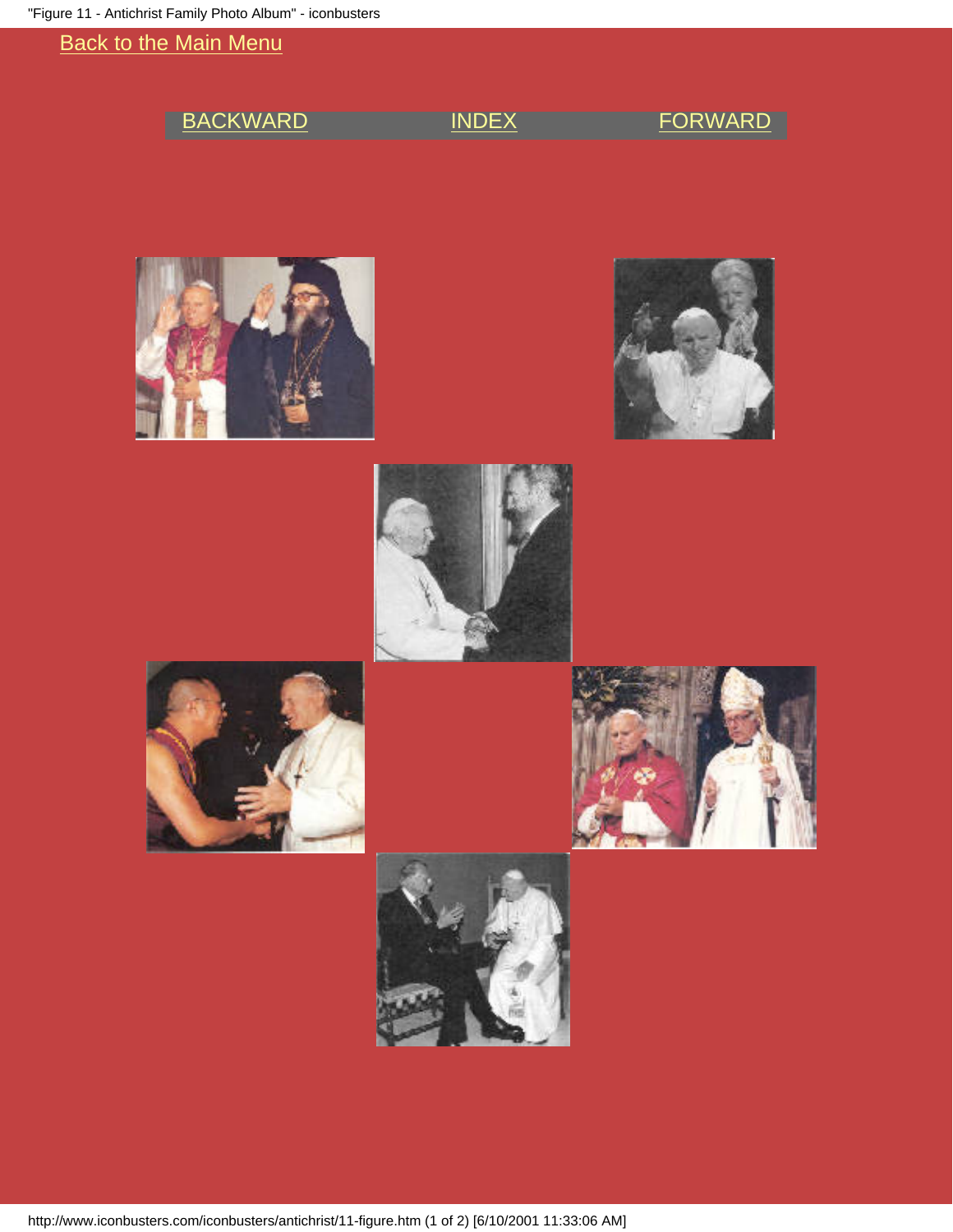<span id="page-9-0"></span>

| <b>BACKWARD</b> | <b>INDEX</b> | <b>FORWARD</b> |
|-----------------|--------------|----------------|
|                 |              |                |
|                 |              |                |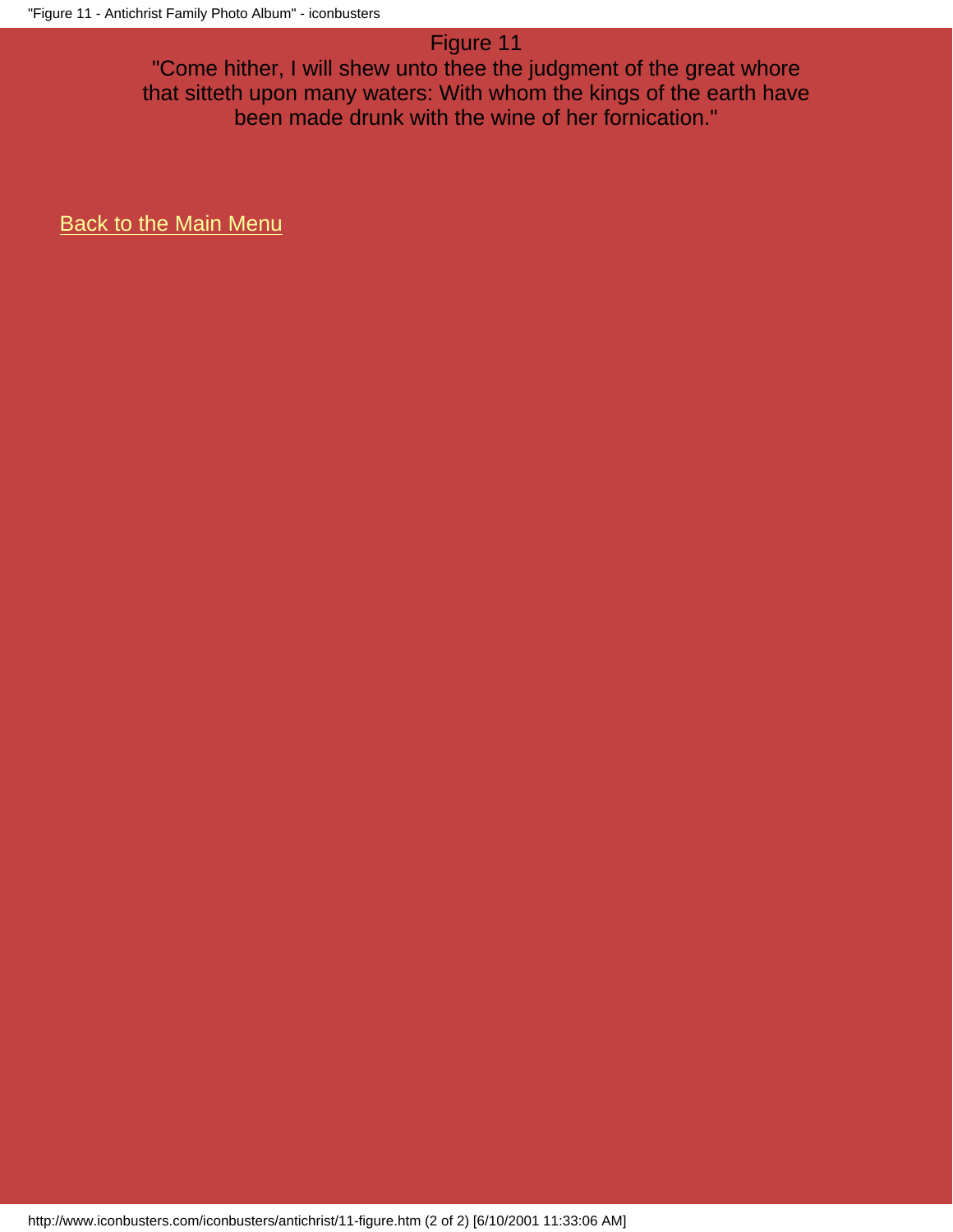# Figure 11

"Come hither, I will shew unto thee the judgment of the great whore that sitteth upon many waters: With whom the kings of the earth have been made drunk with the wine of her fornication."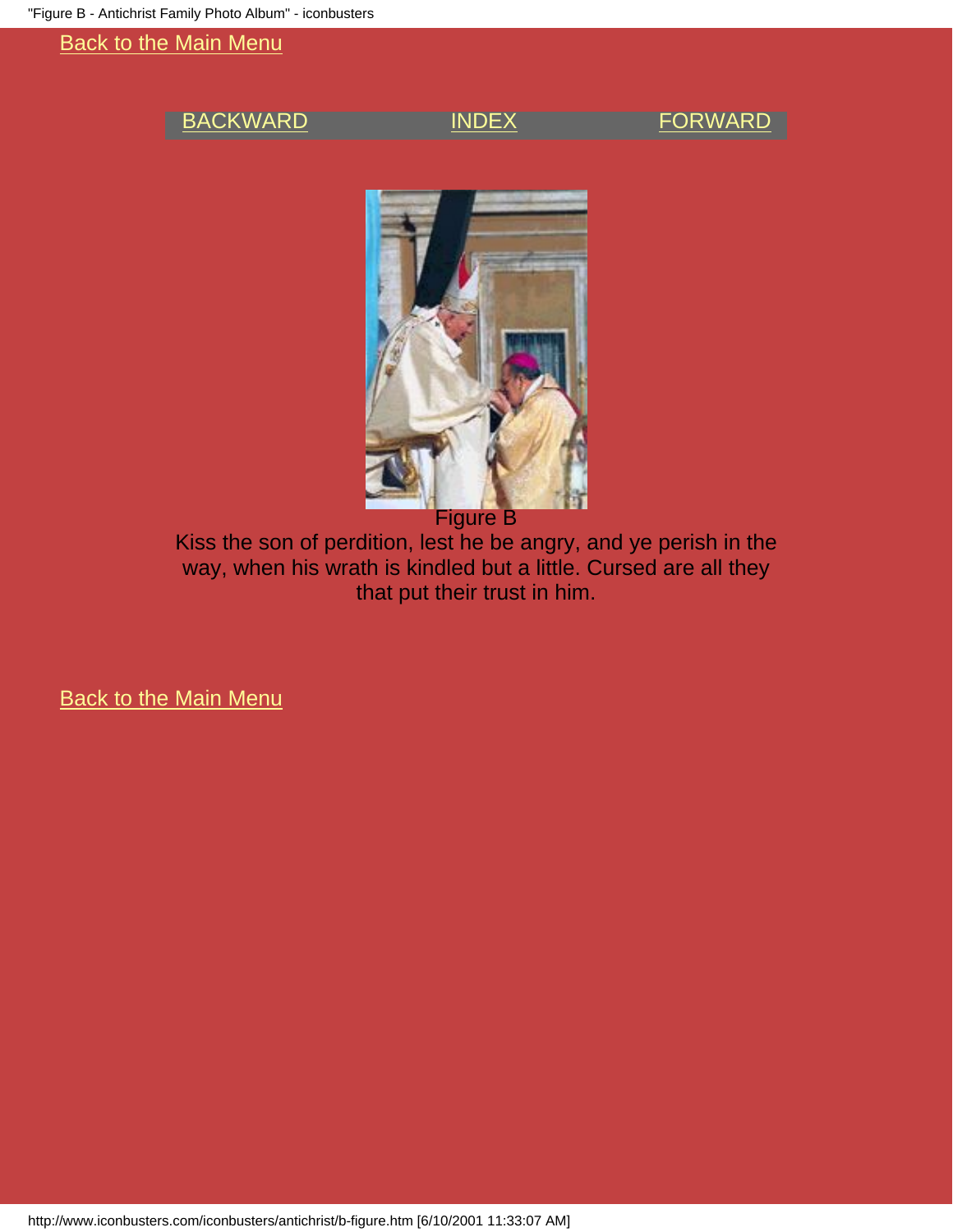### <span id="page-11-0"></span>[BACKWARD](#page-4-0) [INDEX](#page-0-0) [FORWARD](#page-12-0)



Figure B

Kiss the son of perdition, lest he be angry, and ye perish in the way, when his wrath is kindled but a little. Cursed are all they that put their trust in him.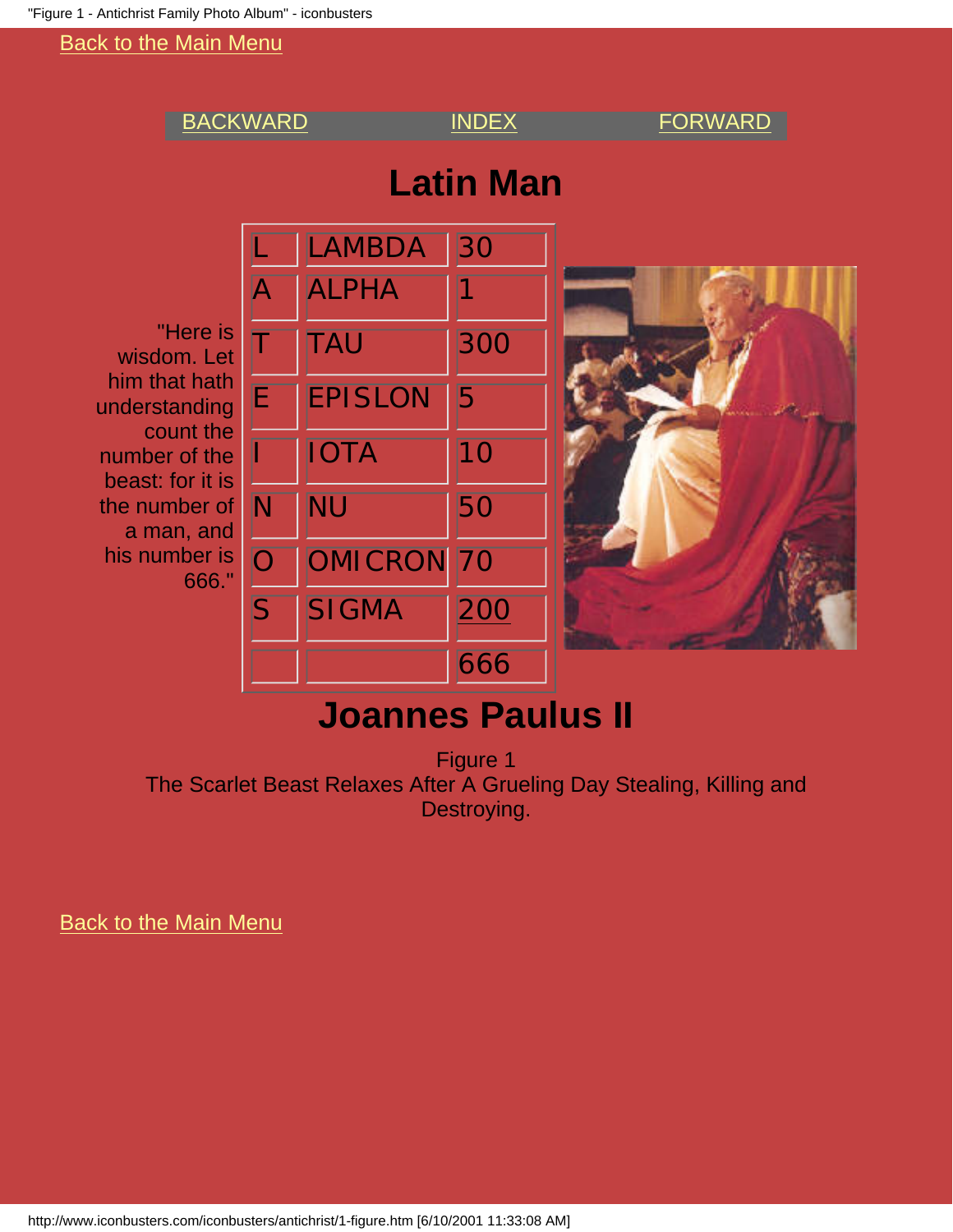<span id="page-12-0"></span>

# **Joannes Paulus II**

Figure 1 The Scarlet Beast Relaxes After A Grueling Day Stealing, Killing and Destroying.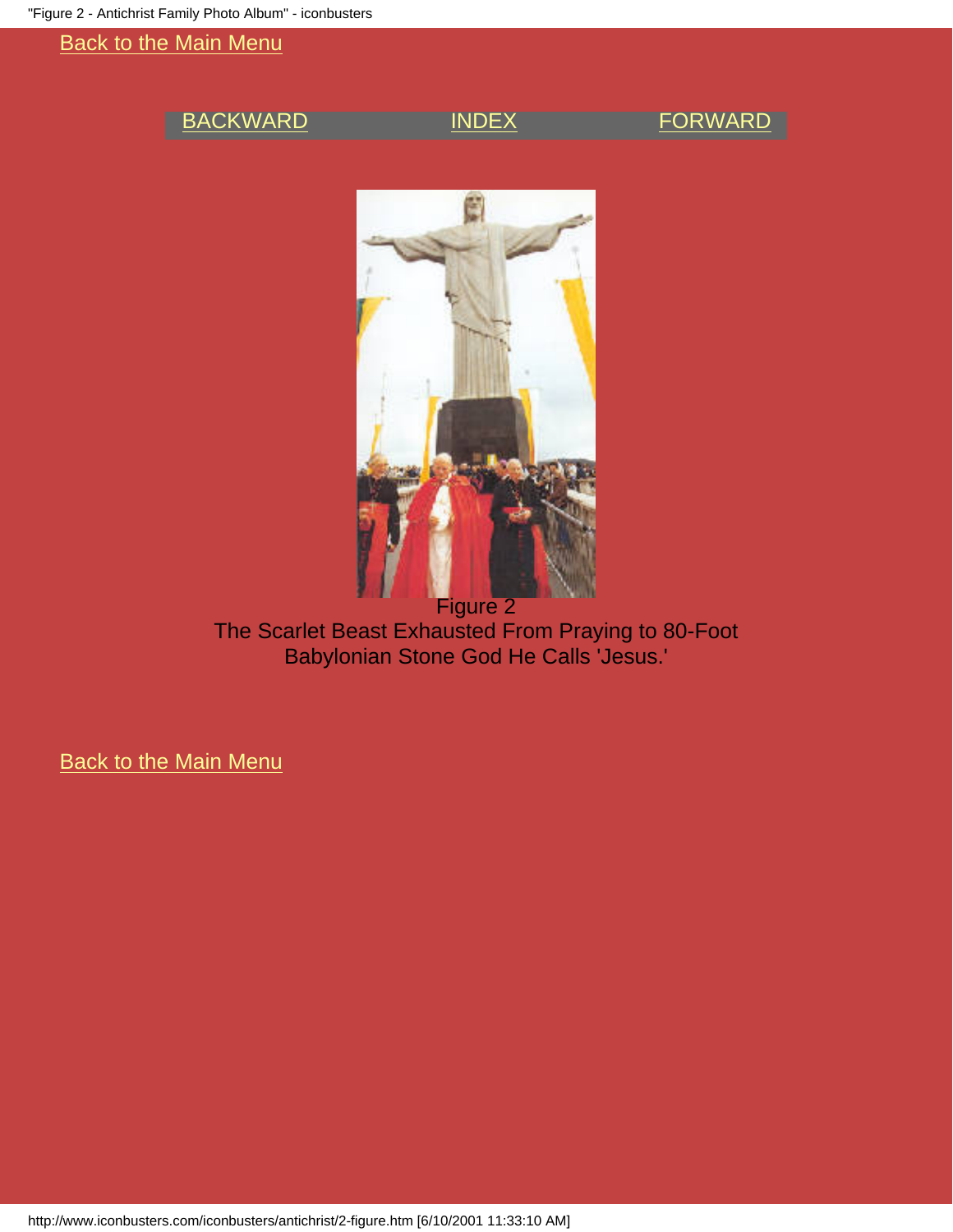### <span id="page-13-0"></span>[BACKWARD](#page-12-0) [INDEX](#page-0-0) [FORWARD](#page-14-0)



The Scarlet Beast Exhausted From Praying to 80-Foot Babylonian Stone God He Calls 'Jesus.'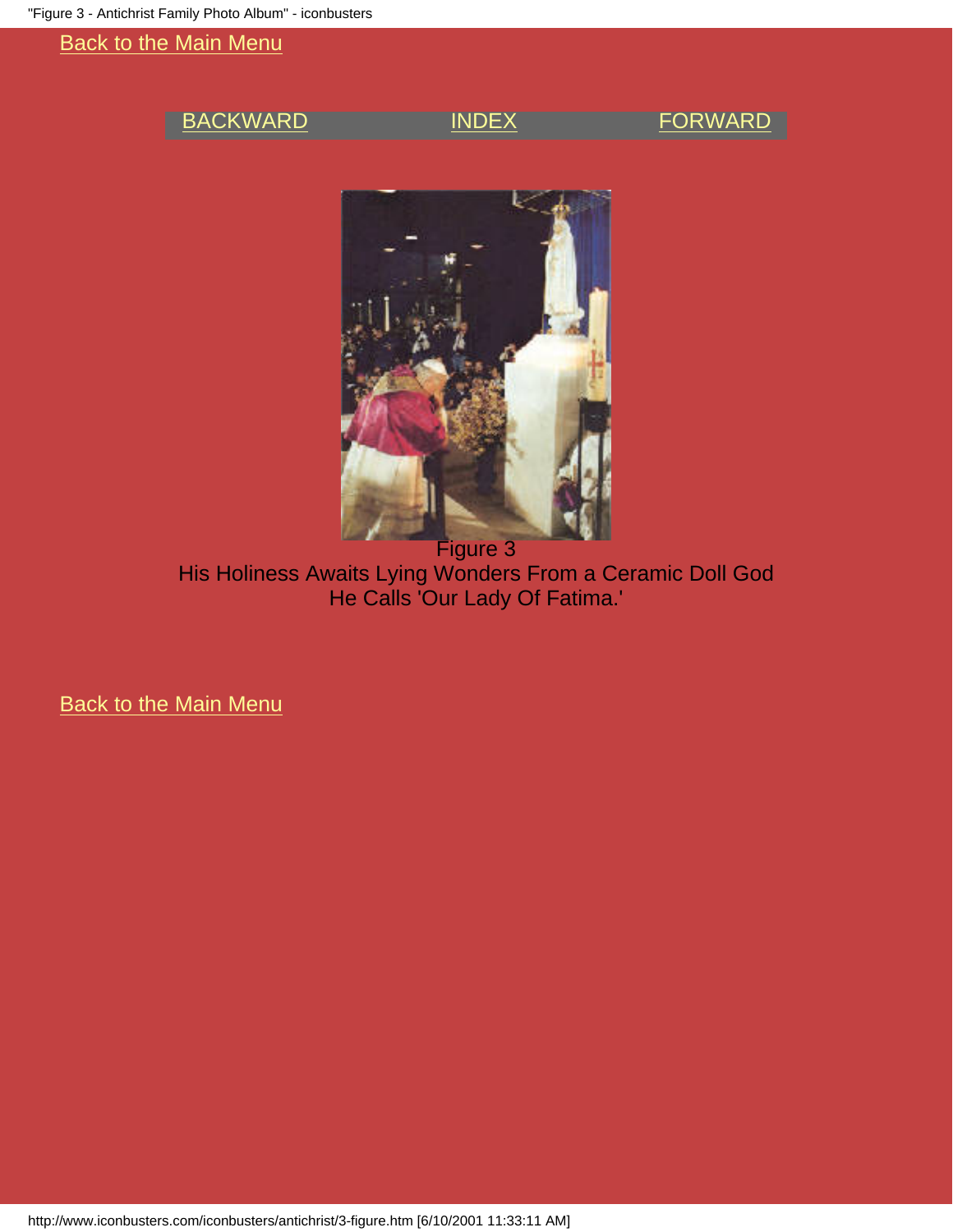### <span id="page-14-0"></span>[BACKWARD](#page-13-0) [INDEX](#page-0-0) [FORWARD](#page-15-0)



Figure 3 His Holiness Awaits Lying Wonders From a Ceramic Doll God He Calls 'Our Lady Of Fatima.'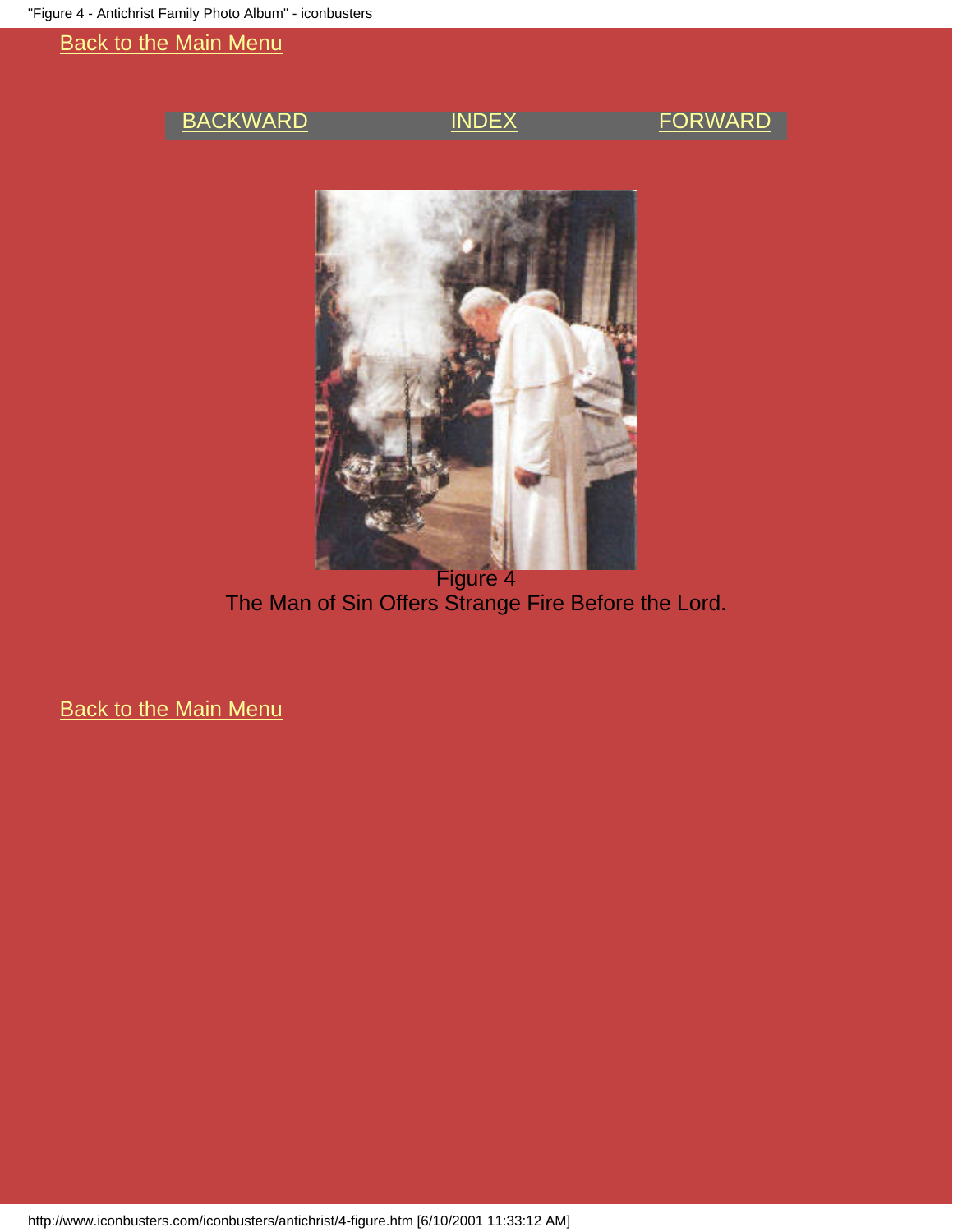### <span id="page-15-0"></span>[BACKWARD](#page-14-0) [INDEX](#page-0-0) [FORWARD](#page-16-0)



Figure 4 The Man of Sin Offers Strange Fire Before the Lord.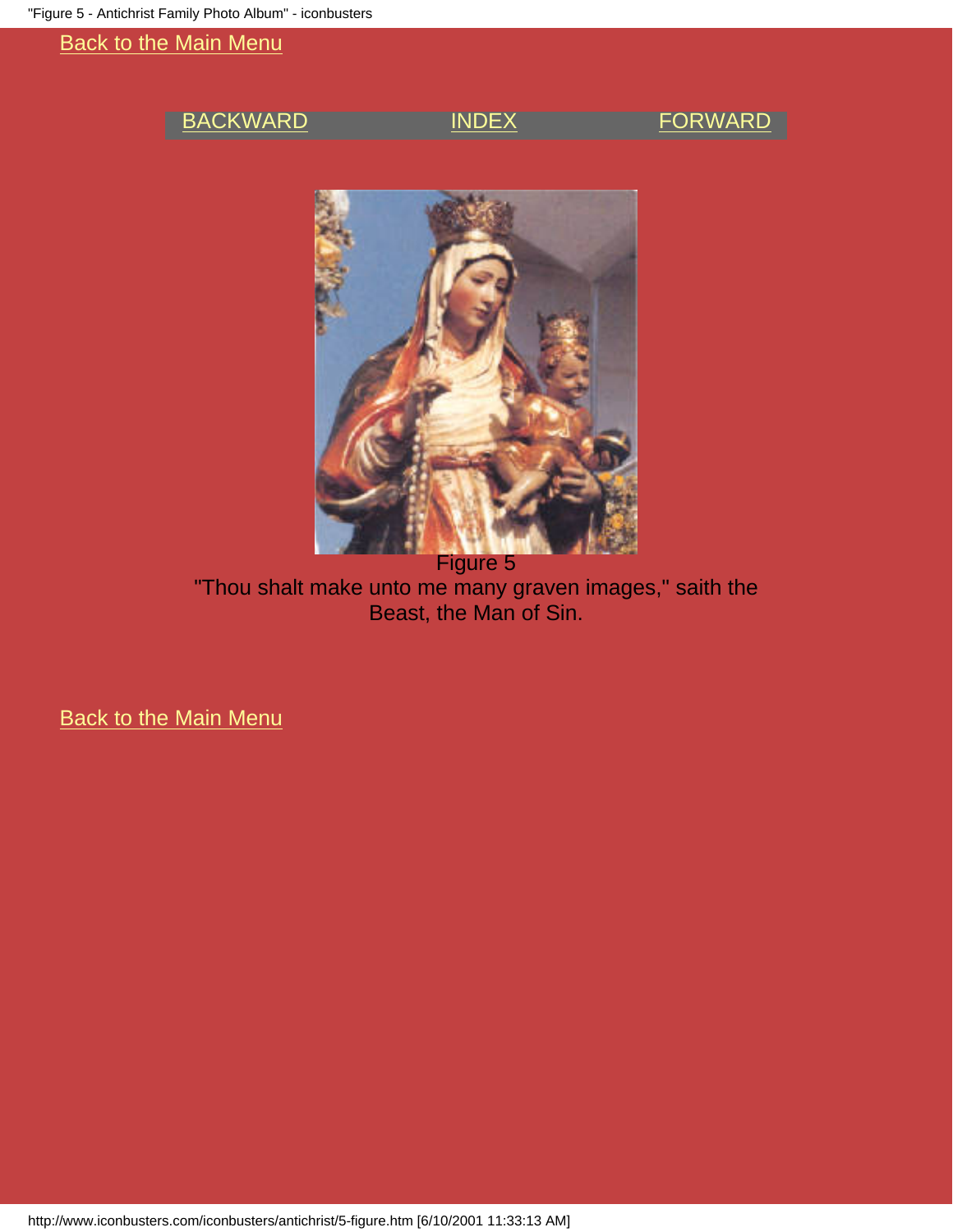### <span id="page-16-0"></span>[BACKWARD](#page-15-0) [INDEX](#page-0-0) [FORWARD](#page-17-0)



Figure 5 "Thou shalt make unto me many graven images," saith the Beast, the Man of Sin.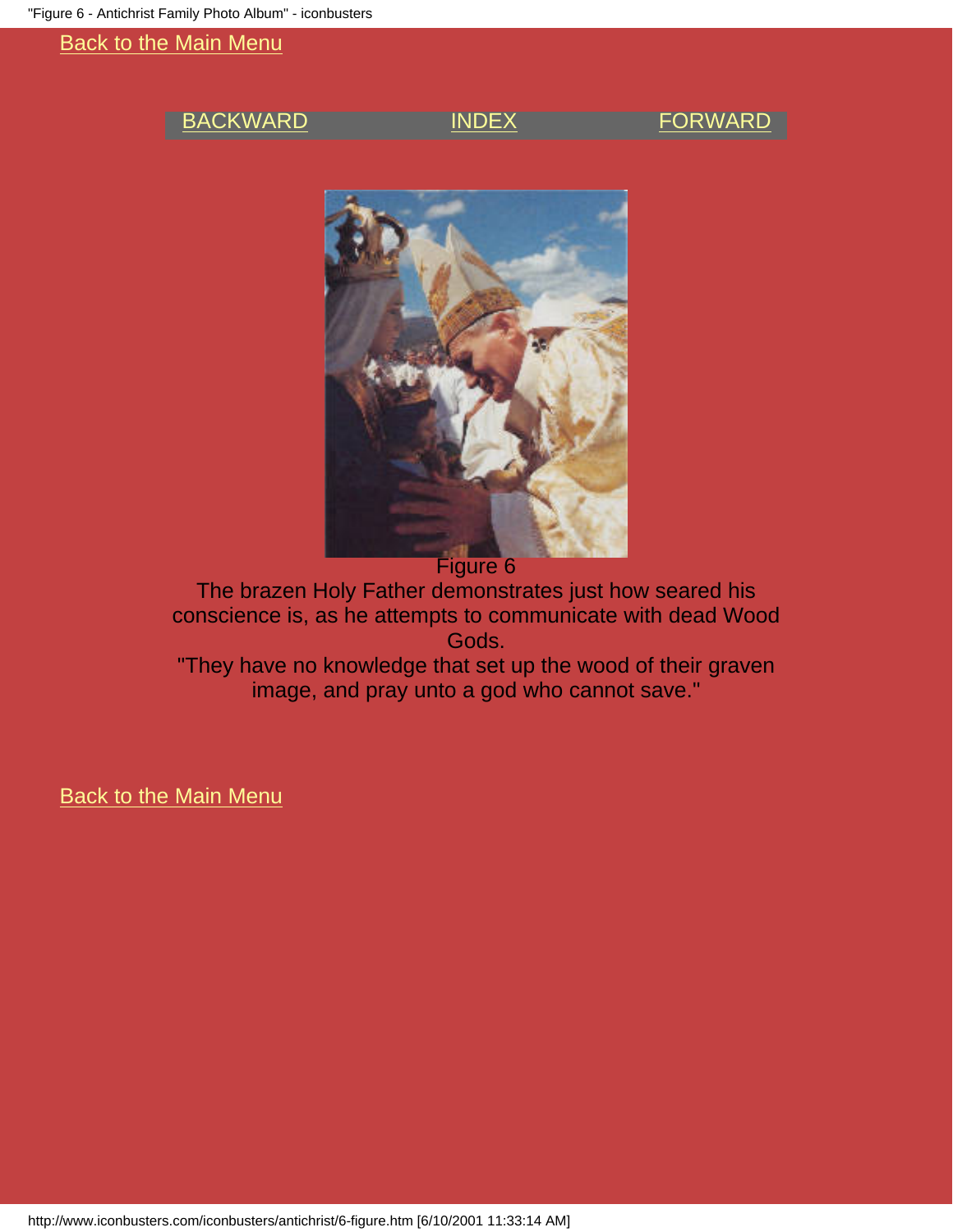### <span id="page-17-0"></span>[BACKWARD](#page-16-0) [INDEX](#page-0-0) [FORWARD](#page-18-0)



The brazen Holy Father demonstrates just how seared his conscience is, as he attempts to communicate with dead Wood Gods.

"They have no knowledge that set up the wood of their graven image, and pray unto a god who cannot save."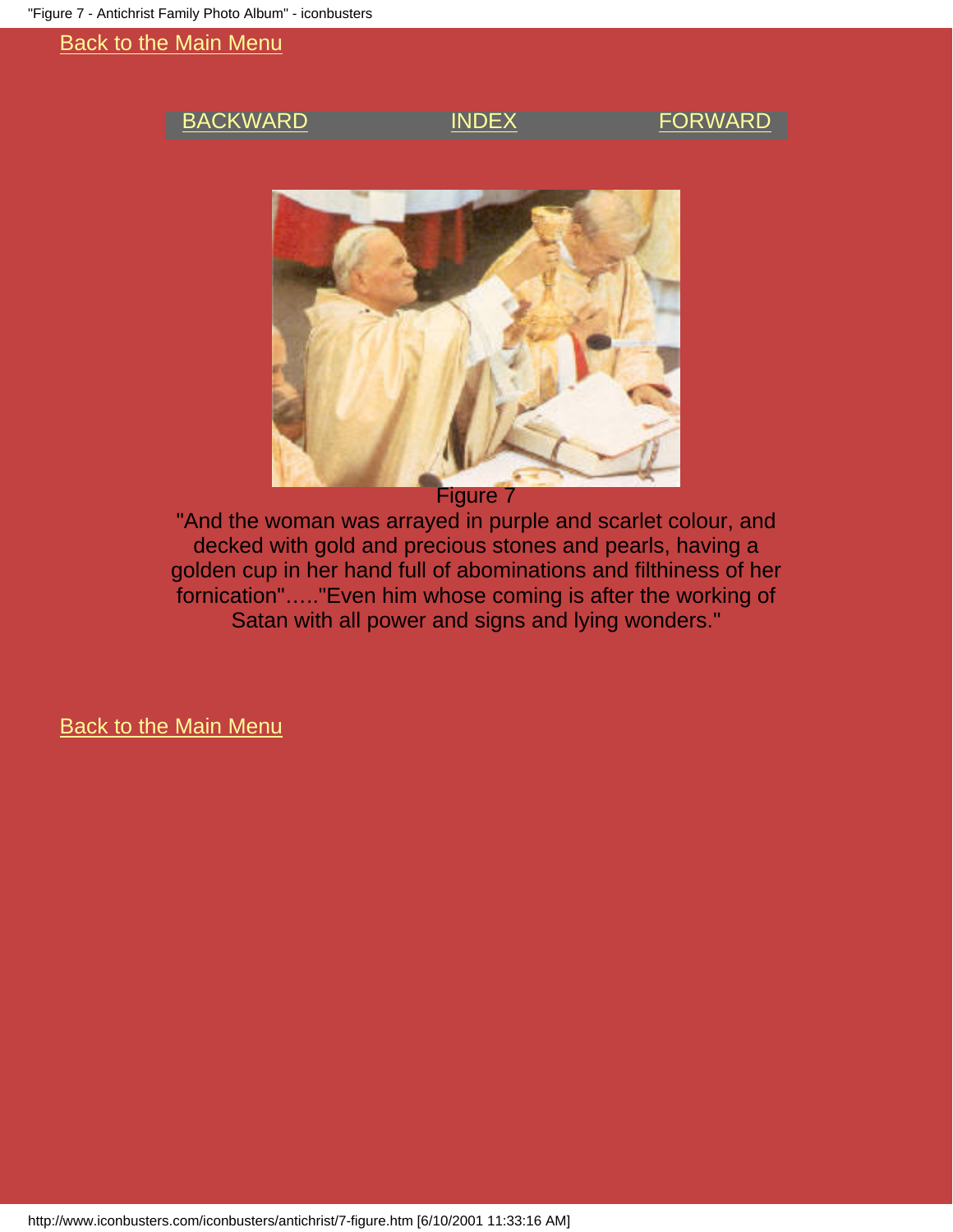### <span id="page-18-0"></span>[BACKWARD](#page-17-0) [INDEX](#page-0-0) [FORWARD](#page-19-0)



Figure 7

"And the woman was arrayed in purple and scarlet colour, and decked with gold and precious stones and pearls, having a golden cup in her hand full of abominations and filthiness of her fornication"….."Even him whose coming is after the working of Satan with all power and signs and lying wonders."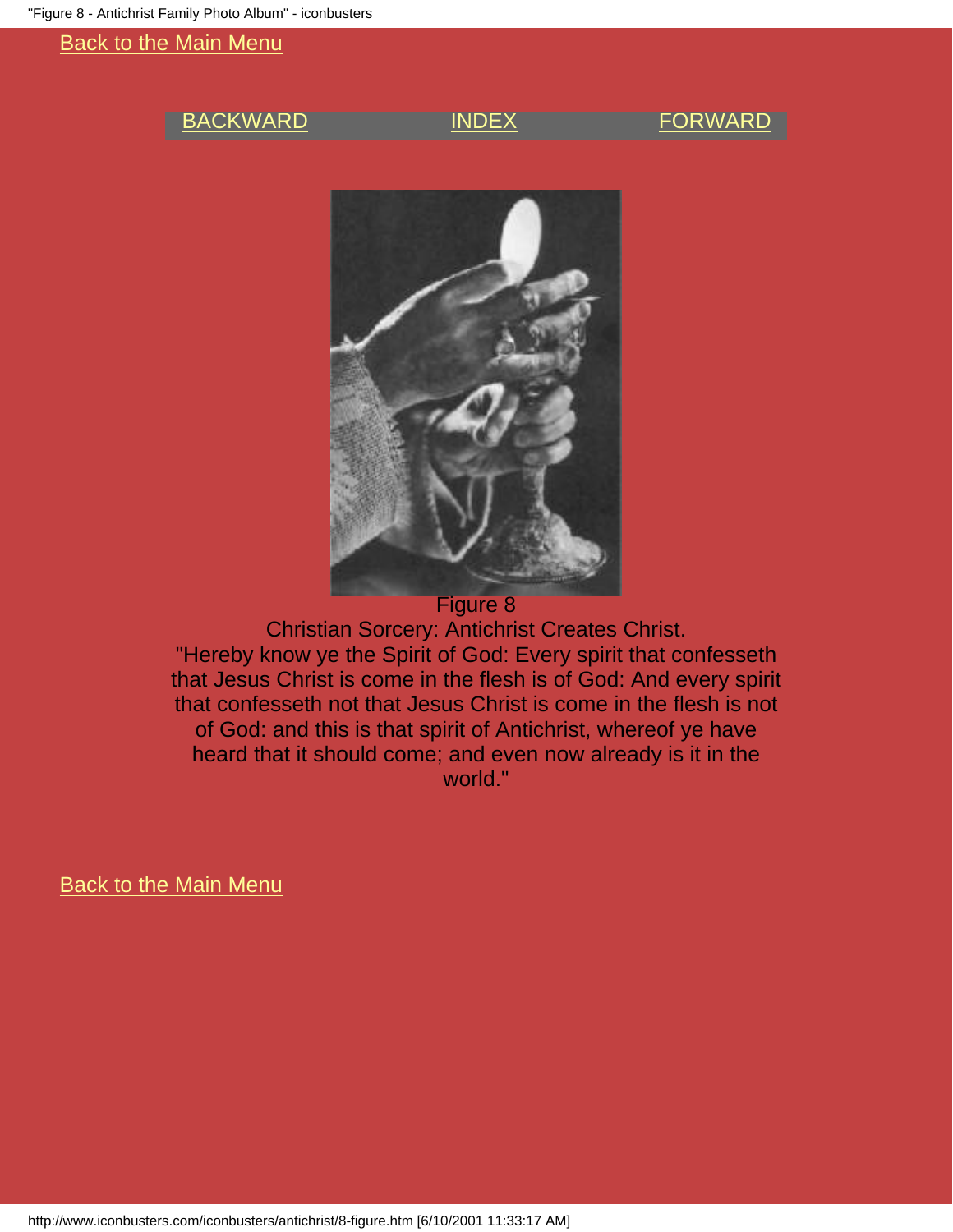### <span id="page-19-0"></span>[BACKWARD](#page-18-0) [INDEX](#page-0-0) [FORWARD](#page-20-0)



Christian Sorcery: Antichrist Creates Christ. "Hereby know ye the Spirit of God: Every spirit that confesseth that Jesus Christ is come in the flesh is of God: And every spirit that confesseth not that Jesus Christ is come in the flesh is not of God: and this is that spirit of Antichrist, whereof ye have heard that it should come; and even now already is it in the world."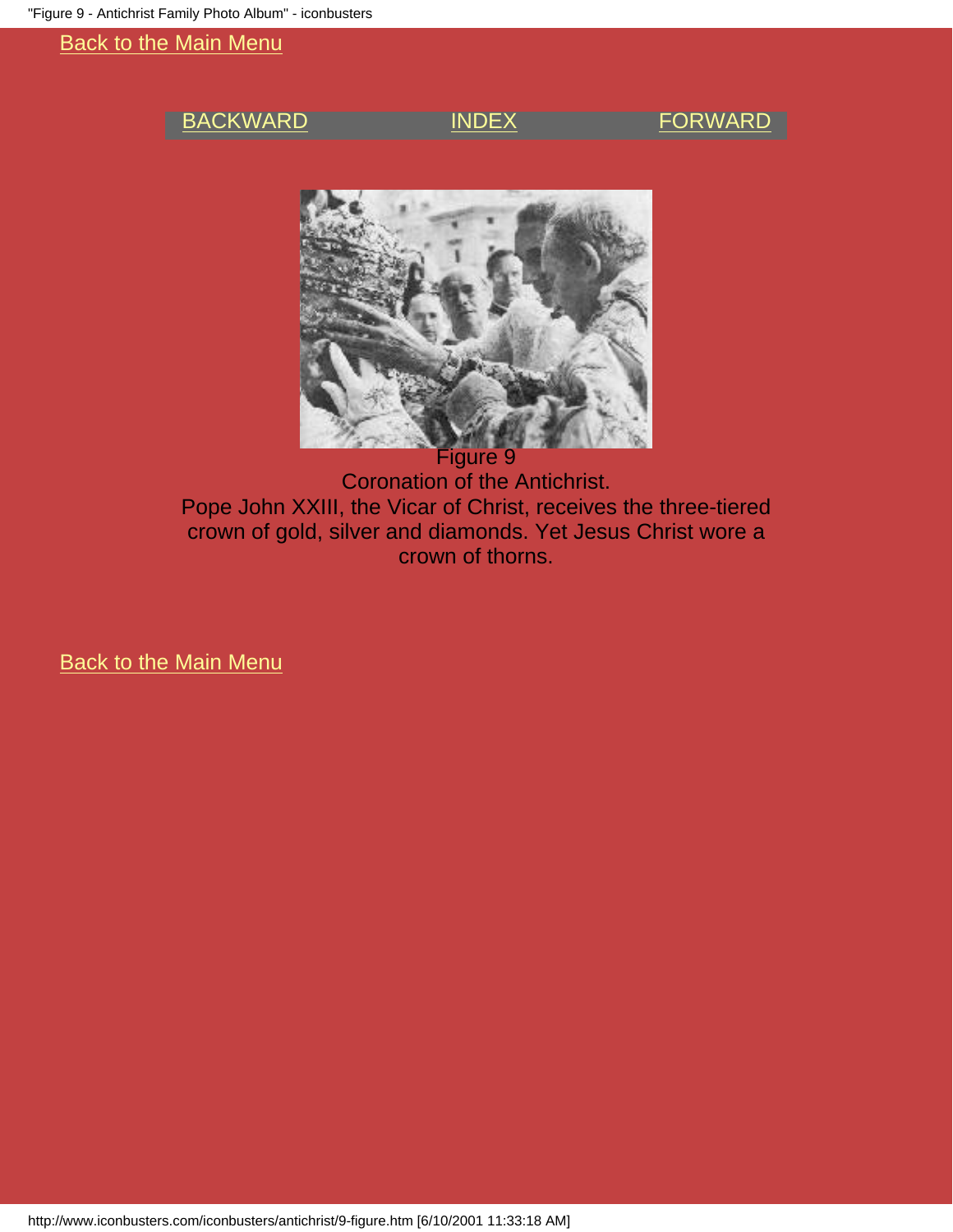### <span id="page-20-0"></span>[BACKWARD](#page-19-0) [INDEX](#page-0-0) [FORWARD](#page-21-0)



Figure 9 Coronation of the Antichrist. Pope John XXIII, the Vicar of Christ, receives the three-tiered crown of gold, silver and diamonds. Yet Jesus Christ wore a crown of thorns.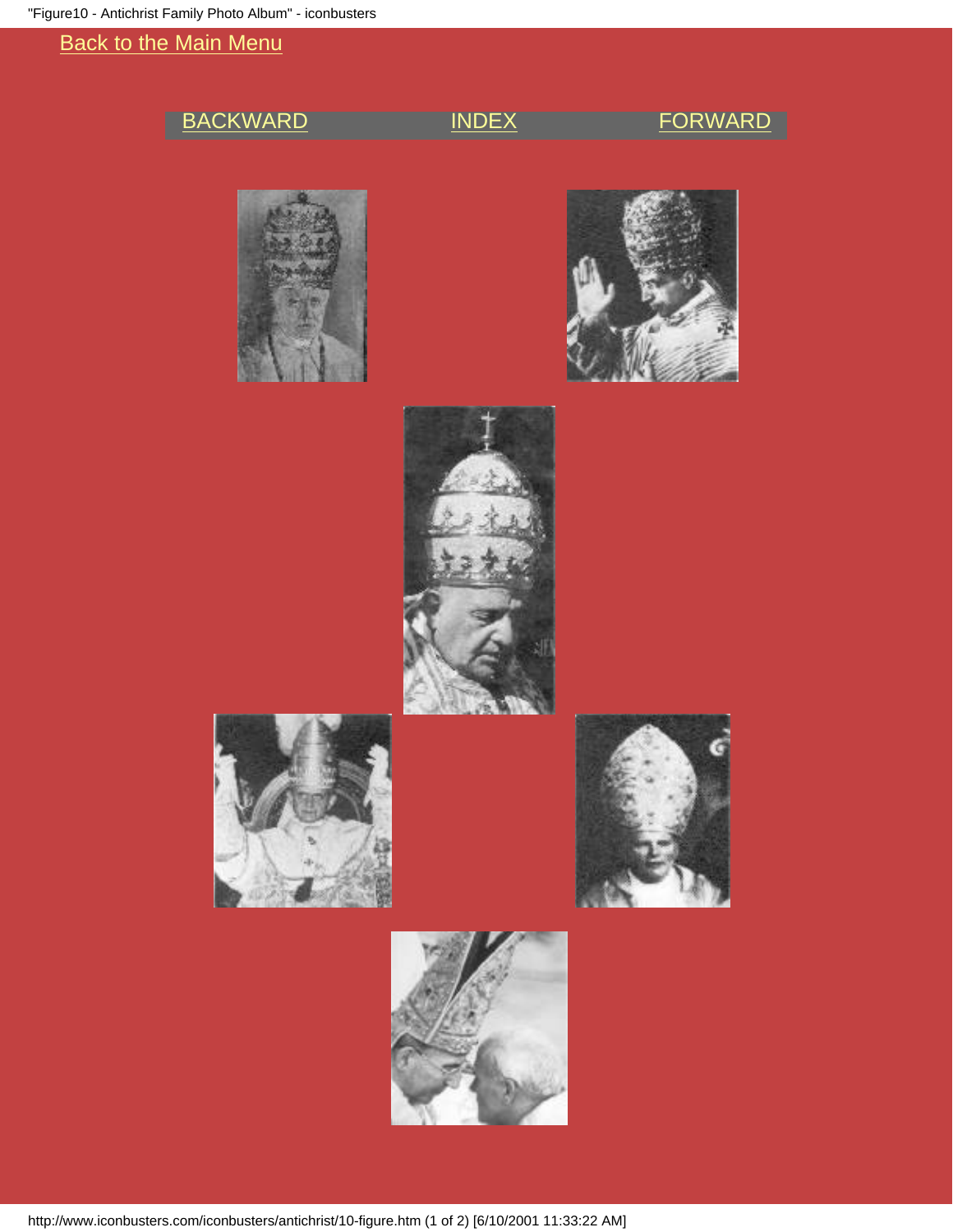# <span id="page-21-0"></span>[BACKWARD](#page-20-0) [INDEX](#page-0-0) [FORWARD](#page-9-0)